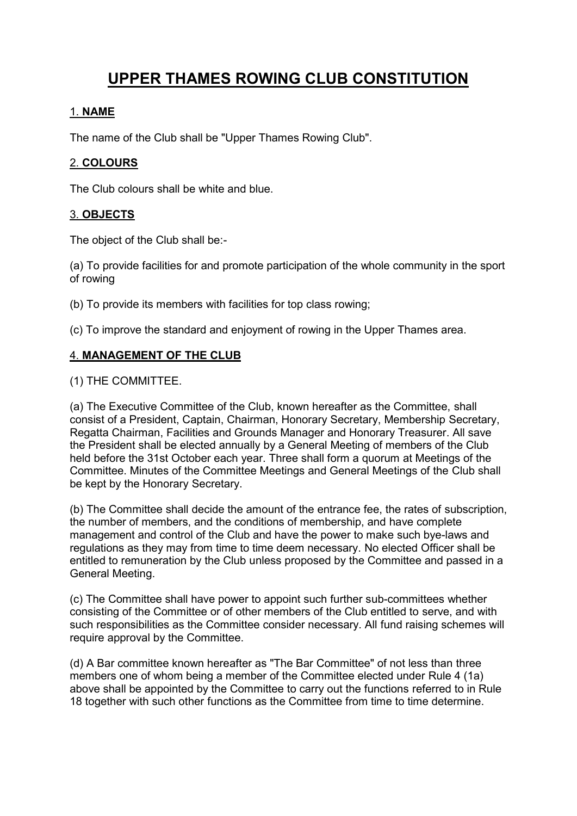# **UPPER THAMES ROWING CLUB CONSTITUTION**

## 1. **NAME**

The name of the Club shall be "Upper Thames Rowing Club".

## 2. **COLOURS**

The Club colours shall be white and blue.

## 3. **OBJECTS**

The object of the Club shall be:-

(a) To provide facilities for and promote participation of the whole community in the sport of rowing

(b) To provide its members with facilities for top class rowing;

(c) To improve the standard and enjoyment of rowing in the Upper Thames area.

## 4. **MANAGEMENT OF THE CLUB**

(1) THE COMMITTEE.

(a) The Executive Committee of the Club, known hereafter as the Committee, shall consist of a President, Captain, Chairman, Honorary Secretary, Membership Secretary, Regatta Chairman, Facilities and Grounds Manager and Honorary Treasurer. All save the President shall be elected annually by a General Meeting of members of the Club held before the 31st October each year. Three shall form a quorum at Meetings of the Committee. Minutes of the Committee Meetings and General Meetings of the Club shall be kept by the Honorary Secretary.

(b) The Committee shall decide the amount of the entrance fee, the rates of subscription, the number of members, and the conditions of membership, and have complete management and control of the Club and have the power to make such bye-laws and regulations as they may from time to time deem necessary. No elected Officer shall be entitled to remuneration by the Club unless proposed by the Committee and passed in a General Meeting.

(c) The Committee shall have power to appoint such further sub-committees whether consisting of the Committee or of other members of the Club entitled to serve, and with such responsibilities as the Committee consider necessary. All fund raising schemes will require approval by the Committee.

(d) A Bar committee known hereafter as "The Bar Committee" of not less than three members one of whom being a member of the Committee elected under Rule 4 (1a) above shall be appointed by the Committee to carry out the functions referred to in Rule 18 together with such other functions as the Committee from time to time determine.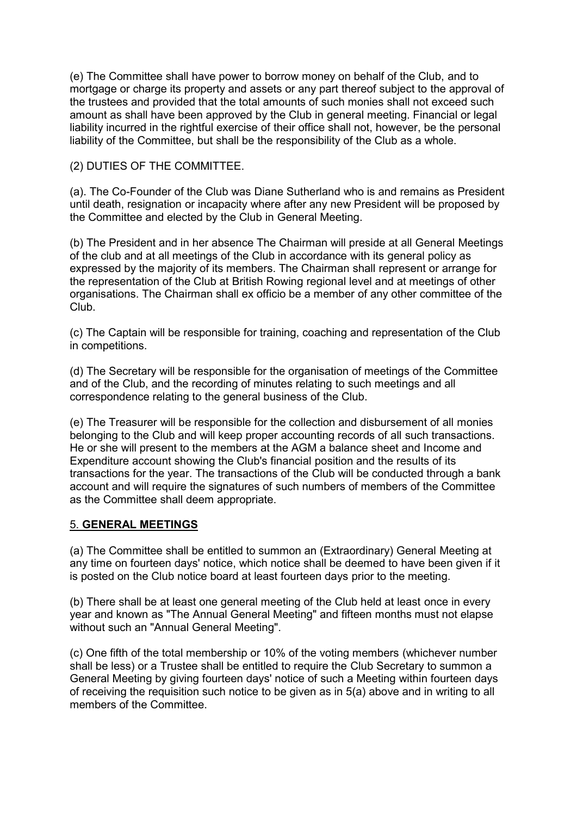(e) The Committee shall have power to borrow money on behalf of the Club, and to mortgage or charge its property and assets or any part thereof subject to the approval of the trustees and provided that the total amounts of such monies shall not exceed such amount as shall have been approved by the Club in general meeting. Financial or legal liability incurred in the rightful exercise of their office shall not, however, be the personal liability of the Committee, but shall be the responsibility of the Club as a whole.

(2) DUTIES OF THE COMMITTEE.

(a). The Co-Founder of the Club was Diane Sutherland who is and remains as President until death, resignation or incapacity where after any new President will be proposed by the Committee and elected by the Club in General Meeting.

(b) The President and in her absence The Chairman will preside at all General Meetings of the club and at all meetings of the Club in accordance with its general policy as expressed by the majority of its members. The Chairman shall represent or arrange for the representation of the Club at British Rowing regional level and at meetings of other organisations. The Chairman shall ex officio be a member of any other committee of the Club.

(c) The Captain will be responsible for training, coaching and representation of the Club in competitions.

(d) The Secretary will be responsible for the organisation of meetings of the Committee and of the Club, and the recording of minutes relating to such meetings and all correspondence relating to the general business of the Club.

(e) The Treasurer will be responsible for the collection and disbursement of all monies belonging to the Club and will keep proper accounting records of all such transactions. He or she will present to the members at the AGM a balance sheet and Income and Expenditure account showing the Club's financial position and the results of its transactions for the year. The transactions of the Club will be conducted through a bank account and will require the signatures of such numbers of members of the Committee as the Committee shall deem appropriate.

## 5. **GENERAL MEETINGS**

(a) The Committee shall be entitled to summon an (Extraordinary) General Meeting at any time on fourteen days' notice, which notice shall be deemed to have been given if it is posted on the Club notice board at least fourteen days prior to the meeting.

(b) There shall be at least one general meeting of the Club held at least once in every year and known as "The Annual General Meeting" and fifteen months must not elapse without such an "Annual General Meeting".

(c) One fifth of the total membership or 10% of the voting members (whichever number shall be less) or a Trustee shall be entitled to require the Club Secretary to summon a General Meeting by giving fourteen days' notice of such a Meeting within fourteen days of receiving the requisition such notice to be given as in 5(a) above and in writing to all members of the Committee.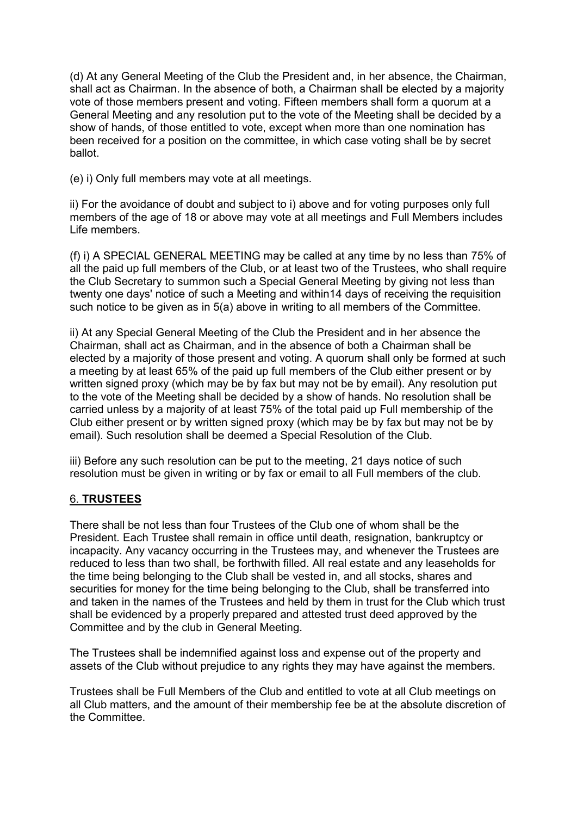(d) At any General Meeting of the Club the President and, in her absence, the Chairman, shall act as Chairman. In the absence of both, a Chairman shall be elected by a majority vote of those members present and voting. Fifteen members shall form a quorum at a General Meeting and any resolution put to the vote of the Meeting shall be decided by a show of hands, of those entitled to vote, except when more than one nomination has been received for a position on the committee, in which case voting shall be by secret ballot.

(e) i) Only full members may vote at all meetings.

ii) For the avoidance of doubt and subject to i) above and for voting purposes only full members of the age of 18 or above may vote at all meetings and Full Members includes Life members.

(f) i) A SPECIAL GENERAL MEETING may be called at any time by no less than 75% of all the paid up full members of the Club, or at least two of the Trustees, who shall require the Club Secretary to summon such a Special General Meeting by giving not less than twenty one days' notice of such a Meeting and within14 days of receiving the requisition such notice to be given as in 5(a) above in writing to all members of the Committee.

ii) At any Special General Meeting of the Club the President and in her absence the Chairman, shall act as Chairman, and in the absence of both a Chairman shall be elected by a majority of those present and voting. A quorum shall only be formed at such a meeting by at least 65% of the paid up full members of the Club either present or by written signed proxy (which may be by fax but may not be by email). Any resolution put to the vote of the Meeting shall be decided by a show of hands. No resolution shall be carried unless by a majority of at least 75% of the total paid up Full membership of the Club either present or by written signed proxy (which may be by fax but may not be by email). Such resolution shall be deemed a Special Resolution of the Club.

iii) Before any such resolution can be put to the meeting, 21 days notice of such resolution must be given in writing or by fax or email to all Full members of the club.

## 6. **TRUSTEES**

There shall be not less than four Trustees of the Club one of whom shall be the President*.* Each Trustee shall remain in office until death, resignation, bankruptcy or incapacity. Any vacancy occurring in the Trustees may, and whenever the Trustees are reduced to less than two shall, be forthwith filled. All real estate and any leaseholds for the time being belonging to the Club shall be vested in, and all stocks, shares and securities for money for the time being belonging to the Club, shall be transferred into and taken in the names of the Trustees and held by them in trust for the Club which trust shall be evidenced by a properly prepared and attested trust deed approved by the Committee and by the club in General Meeting.

The Trustees shall be indemnified against loss and expense out of the property and assets of the Club without prejudice to any rights they may have against the members.

Trustees shall be Full Members of the Club and entitled to vote at all Club meetings on all Club matters, and the amount of their membership fee be at the absolute discretion of the Committee.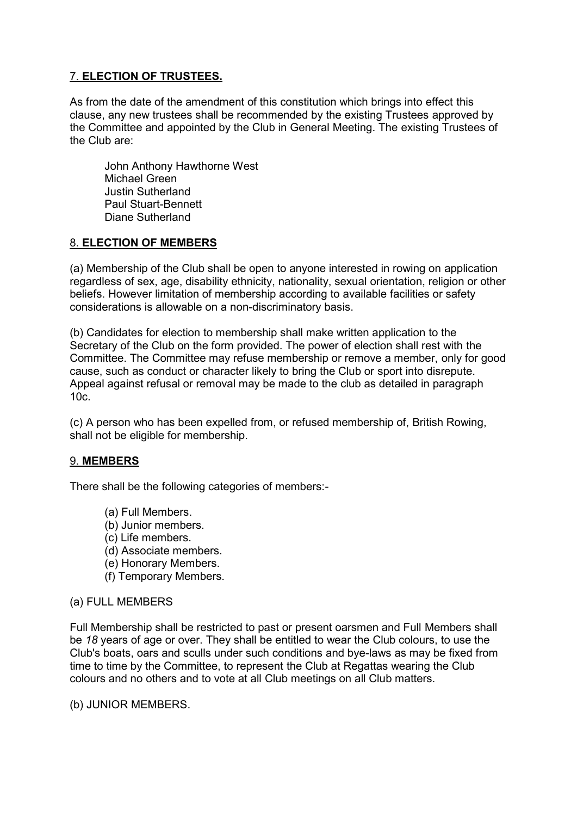## 7. **ELECTION OF TRUSTEES.**

As from the date of the amendment of this constitution which brings into effect this clause, any new trustees shall be recommended by the existing Trustees approved by the Committee and appointed by the Club in General Meeting. The existing Trustees of the Club are:

John Anthony Hawthorne West Michael Green Justin Sutherland Paul Stuart-Bennett Diane Sutherland

#### 8. **ELECTION OF MEMBERS**

(a) Membership of the Club shall be open to anyone interested in rowing on application regardless of sex, age, disability ethnicity, nationality, sexual orientation, religion or other beliefs. However limitation of membership according to available facilities or safety considerations is allowable on a non-discriminatory basis.

(b) Candidates for election to membership shall make written application to the Secretary of the Club on the form provided. The power of election shall rest with the Committee. The Committee may refuse membership or remove a member, only for good cause, such as conduct or character likely to bring the Club or sport into disrepute. Appeal against refusal or removal may be made to the club as detailed in paragraph 10c.

(c) A person who has been expelled from, or refused membership of, British Rowing, shall not be eligible for membership.

#### 9. **MEMBERS**

There shall be the following categories of members:-

- (a) Full Members.
- (b) Junior members.
- (c) Life members.
- (d) Associate members.
- (e) Honorary Members.
- (f) Temporary Members.

#### (a) FULL MEMBERS

Full Membership shall be restricted to past or present oarsmen and Full Members shall be *18* years of age or over. They shall be entitled to wear the Club colours, to use the Club's boats, oars and sculls under such conditions and bye-laws as may be fixed from time to time by the Committee, to represent the Club at Regattas wearing the Club colours and no others and to vote at all Club meetings on all Club matters.

(b) JUNIOR MEMBERS.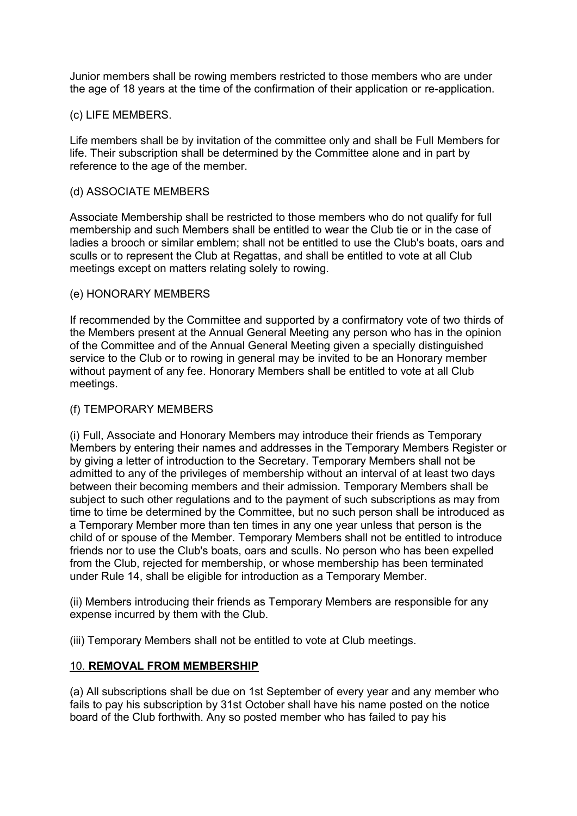Junior members shall be rowing members restricted to those members who are under the age of 18 years at the time of the confirmation of their application or re-application.

#### (c) LIFE MEMBERS.

Life members shall be by invitation of the committee only and shall be Full Members for life. Their subscription shall be determined by the Committee alone and in part by reference to the age of the member.

#### (d) ASSOCIATE MEMBERS

Associate Membership shall be restricted to those members who do not qualify for full membership and such Members shall be entitled to wear the Club tie or in the case of ladies a brooch or similar emblem; shall not be entitled to use the Club's boats, oars and sculls or to represent the Club at Regattas, and shall be entitled to vote at all Club meetings except on matters relating solely to rowing.

#### (e) HONORARY MEMBERS

If recommended by the Committee and supported by a confirmatory vote of two thirds of the Members present at the Annual General Meeting any person who has in the opinion of the Committee and of the Annual General Meeting given a specially distinguished service to the Club or to rowing in general may be invited to be an Honorary member without payment of any fee. Honorary Members shall be entitled to vote at all Club meetings.

#### (f) TEMPORARY MEMBERS

(i) Full, Associate and Honorary Members may introduce their friends as Temporary Members by entering their names and addresses in the Temporary Members Register or by giving a letter of introduction to the Secretary. Temporary Members shall not be admitted to any of the privileges of membership without an interval of at least two days between their becoming members and their admission. Temporary Members shall be subject to such other regulations and to the payment of such subscriptions as may from time to time be determined by the Committee, but no such person shall be introduced as a Temporary Member more than ten times in any one year unless that person is the child of or spouse of the Member. Temporary Members shall not be entitled to introduce friends nor to use the Club's boats, oars and sculls. No person who has been expelled from the Club, rejected for membership, or whose membership has been terminated under Rule 14, shall be eligible for introduction as a Temporary Member.

(ii) Members introducing their friends as Temporary Members are responsible for any expense incurred by them with the Club.

(iii) Temporary Members shall not be entitled to vote at Club meetings.

#### 10. **REMOVAL FROM MEMBERSHIP**

(a) All subscriptions shall be due on 1st September of every year and any member who fails to pay his subscription by 31st October shall have his name posted on the notice board of the Club forthwith. Any so posted member who has failed to pay his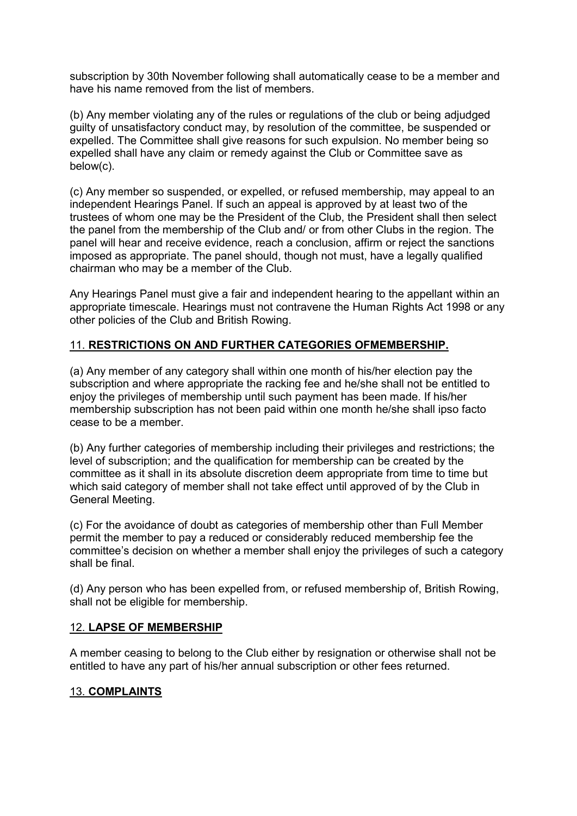subscription by 30th November following shall automatically cease to be a member and have his name removed from the list of members.

(b) Any member violating any of the rules or regulations of the club or being adjudged guilty of unsatisfactory conduct may, by resolution of the committee, be suspended or expelled. The Committee shall give reasons for such expulsion. No member being so expelled shall have any claim or remedy against the Club or Committee save as below(c).

(c) Any member so suspended, or expelled, or refused membership, may appeal to an independent Hearings Panel. If such an appeal is approved by at least two of the trustees of whom one may be the President of the Club, the President shall then select the panel from the membership of the Club and/ or from other Clubs in the region. The panel will hear and receive evidence, reach a conclusion, affirm or reject the sanctions imposed as appropriate. The panel should, though not must, have a legally qualified chairman who may be a member of the Club.

Any Hearings Panel must give a fair and independent hearing to the appellant within an appropriate timescale. Hearings must not contravene the Human Rights Act 1998 or any other policies of the Club and British Rowing.

## 11. **RESTRICTIONS ON AND FURTHER CATEGORIES OFMEMBERSHIP.**

(a) Any member of any category shall within one month of his/her election pay the subscription and where appropriate the racking fee and he/she shall not be entitled to enjoy the privileges of membership until such payment has been made. If his/her membership subscription has not been paid within one month he/she shall ipso facto cease to be a member.

(b) Any further categories of membership including their privileges and restrictions; the level of subscription; and the qualification for membership can be created by the committee as it shall in its absolute discretion deem appropriate from time to time but which said category of member shall not take effect until approved of by the Club in General Meeting.

(c) For the avoidance of doubt as categories of membership other than Full Member permit the member to pay a reduced or considerably reduced membership fee the committee's decision on whether a member shall enjoy the privileges of such a category shall be final.

(d) Any person who has been expelled from, or refused membership of, British Rowing, shall not be eligible for membership.

#### 12. **LAPSE OF MEMBERSHIP**

A member ceasing to belong to the Club either by resignation or otherwise shall not be entitled to have any part of his/her annual subscription or other fees returned.

## 13. **COMPLAINTS**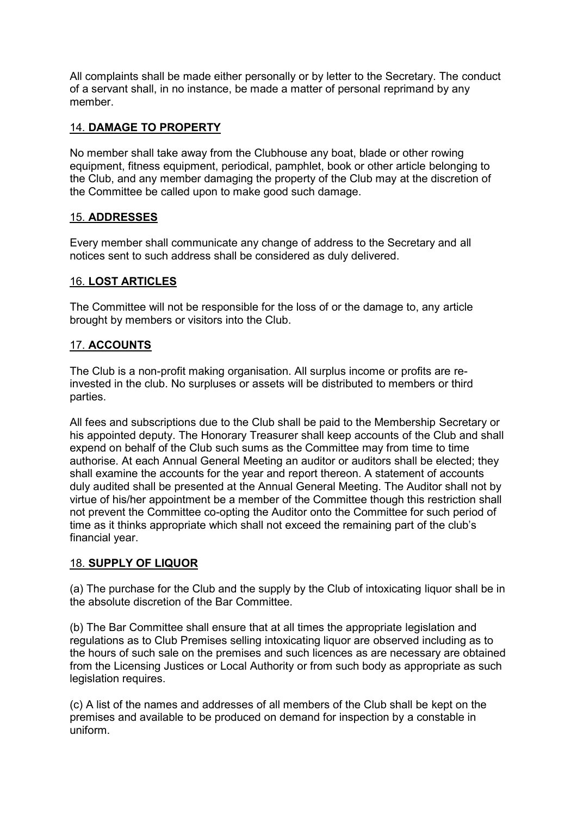All complaints shall be made either personally or by letter to the Secretary. The conduct of a servant shall, in no instance, be made a matter of personal reprimand by any member.

## 14. **DAMAGE TO PROPERTY**

No member shall take away from the Clubhouse any boat, blade or other rowing equipment, fitness equipment, periodical, pamphlet, book or other article belonging to the Club, and any member damaging the property of the Club may at the discretion of the Committee be called upon to make good such damage.

## 15. **ADDRESSES**

Every member shall communicate any change of address to the Secretary and all notices sent to such address shall be considered as duly delivered.

#### 16. **LOST ARTICLES**

The Committee will not be responsible for the loss of or the damage to, any article brought by members or visitors into the Club.

## 17. **ACCOUNTS**

The Club is a non-profit making organisation. All surplus income or profits are reinvested in the club. No surpluses or assets will be distributed to members or third parties.

All fees and subscriptions due to the Club shall be paid to the Membership Secretary or his appointed deputy. The Honorary Treasurer shall keep accounts of the Club and shall expend on behalf of the Club such sums as the Committee may from time to time authorise. At each Annual General Meeting an auditor or auditors shall be elected; they shall examine the accounts for the year and report thereon. A statement of accounts duly audited shall be presented at the Annual General Meeting. The Auditor shall not by virtue of his/her appointment be a member of the Committee though this restriction shall not prevent the Committee co-opting the Auditor onto the Committee for such period of time as it thinks appropriate which shall not exceed the remaining part of the club's financial year.

#### 18. **SUPPLY OF LIQUOR**

(a) The purchase for the Club and the supply by the Club of intoxicating liquor shall be in the absolute discretion of the Bar Committee.

(b) The Bar Committee shall ensure that at all times the appropriate legislation and regulations as to Club Premises selling intoxicating liquor are observed including as to the hours of such sale on the premises and such licences as are necessary are obtained from the Licensing Justices or Local Authority or from such body as appropriate as such legislation requires.

(c) A list of the names and addresses of all members of the Club shall be kept on the premises and available to be produced on demand for inspection by a constable in uniform.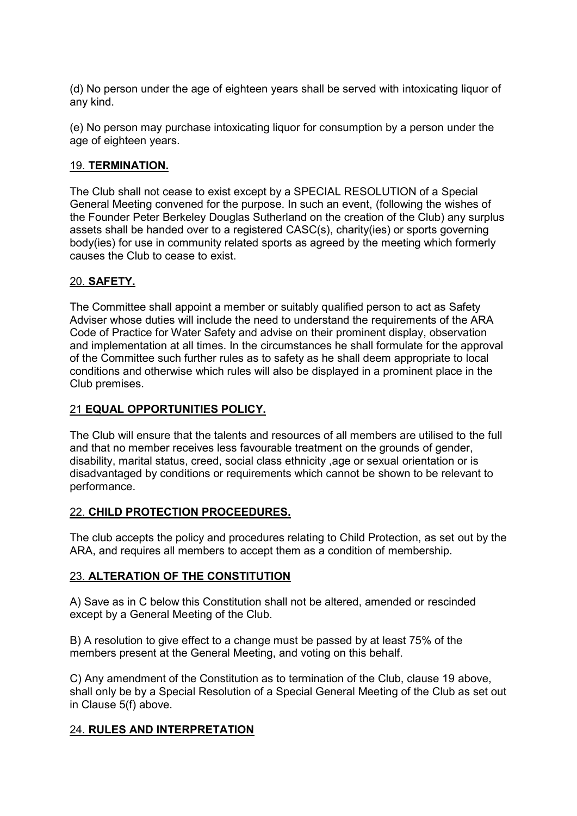(d) No person under the age of eighteen years shall be served with intoxicating liquor of any kind.

(e) No person may purchase intoxicating liquor for consumption by a person under the age of eighteen years.

## 19. **TERMINATION.**

The Club shall not cease to exist except by a SPECIAL RESOLUTION of a Special General Meeting convened for the purpose. In such an event, (following the wishes of the Founder Peter Berkeley Douglas Sutherland on the creation of the Club) any surplus assets shall be handed over to a registered CASC(s), charity(ies) or sports governing body(ies) for use in community related sports as agreed by the meeting which formerly causes the Club to cease to exist.

#### 20. **SAFETY.**

The Committee shall appoint a member or suitably qualified person to act as Safety Adviser whose duties will include the need to understand the requirements of the ARA Code of Practice for Water Safety and advise on their prominent display, observation and implementation at all times. In the circumstances he shall formulate for the approval of the Committee such further rules as to safety as he shall deem appropriate to local conditions and otherwise which rules will also be displayed in a prominent place in the Club premises.

#### 21 **EQUAL OPPORTUNITIES POLICY.**

The Club will ensure that the talents and resources of all members are utilised to the full and that no member receives less favourable treatment on the grounds of gender, disability, marital status, creed, social class ethnicity ,age or sexual orientation or is disadvantaged by conditions or requirements which cannot be shown to be relevant to performance.

#### 22. **CHILD PROTECTION PROCEEDURES.**

The club accepts the policy and procedures relating to Child Protection, as set out by the ARA, and requires all members to accept them as a condition of membership.

#### 23. **ALTERATION OF THE CONSTITUTION**

A) Save as in C below this Constitution shall not be altered, amended or rescinded except by a General Meeting of the Club.

B) A resolution to give effect to a change must be passed by at least 75% of the members present at the General Meeting, and voting on this behalf.

C) Any amendment of the Constitution as to termination of the Club, clause 19 above, shall only be by a Special Resolution of a Special General Meeting of the Club as set out in Clause 5(f) above.

## 24. **RULES AND INTERPRETATION**